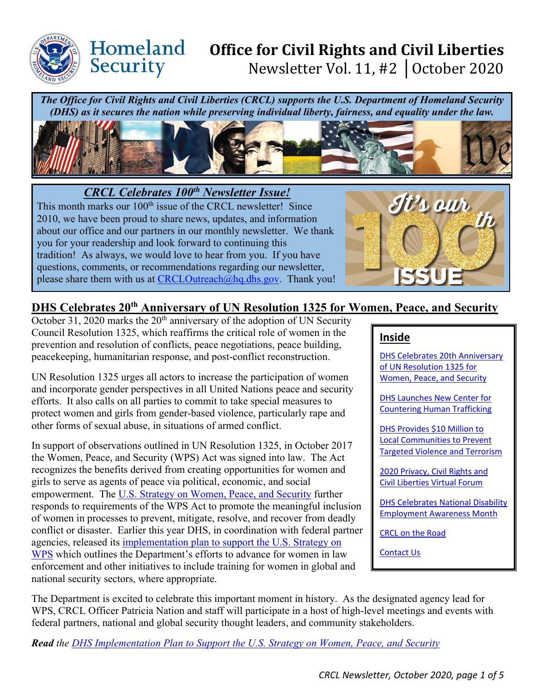

# **Office for Civil Rights and Civil Liberties**  Newsletter Vol. 11, #2 │October 2020

*The Office for Civil Rights and Civil Liberties (CRCL) supports the U.S. Department of Homeland Security (DHS) as it secures the nation while preserving individual liberty, fairness, and equality under the law.*



*CRCL Celebrates 100th Newsletter Issue!* 

Homeland

Security

This month marks our 100<sup>th</sup> issue of the CRCL newsletter! Since 2010, we have been proud to share news, updates, and information about our office and our partners in our monthly newsletter. We thank you for your readership and look forward to continuing this tradition! As always, we would love to hear from you. If you have questions, comments, or recommendations regarding our newsletter, please share them with us at [CRCLOutreach@hq.dhs.gov.](mailto:CRCLOutreach@hq.dhs.gov) Thank you!



## <span id="page-0-0"></span>**DHS Celebrates 20th Anniversary of UN Resolution 1325 for Women, Peace, and Security**

October 31, 2020 marks the  $20<sup>th</sup>$  anniversary of the adoption of UN Security Council Resolution 1325, which reaffirms the critical role of women in the prevention and resolution of conflicts, peace negotiations, peace building, peacekeeping, humanitarian response, and post-conflict reconstruction.

UN Resolution 1325 urges all actors to increase the participation of women and incorporate gender perspectives in all United Nations peace and security efforts. It also calls on all parties to commit to take special measures to protect women and girls from gender-based violence, particularly rape and other forms of sexual abuse, in situations of armed conflict.

In support of observations outlined in UN Resolution 1325, in October 2017 the Women, Peace, and Security (WPS) Act was signed into law. The Act recognizes the benefits derived from creating opportunities for women and girls to serve as agents of peace via political, economic, and social empowerment. The [U.S. Strategy on Women, Peace, and Security](https://www.whitehouse.gov/wp-content/uploads/2019/06/WPS_Strategy_10_October2019.pdf) further responds to requirements of the WPS Act to promote the meaningful inclusion of women in processes to prevent, mitigate, resolve, and recover from deadly conflict or disaster. Earlier this year DHS, in coordination with federal partner agencies, released its [implementation plan to support the U.S. Strategy on](https://www.dhs.gov/us-strategy-women-peace-and-security)  [WPS](https://www.dhs.gov/us-strategy-women-peace-and-security) which outlines the Department's efforts to advance for women in law enforcement and other initiatives to include training for women in global and national security sectors, where appropriate.

#### **Inside**

[DHS Celebrates 20th Anniversary](#page-0-0)  of UN [Resolution 1325](#page-0-0) for [Women, Peace, and Security](#page-0-0) 

[DHS Launches New Center for](#page-2-0)  [Countering Human Trafficking](#page-2-0) 

[DHS Provides \\$10 Million to](#page-2-0)  [Local Communities to Prevent](#page-2-0)  [Targeted Violence and Terrorism](#page-2-0) 

[2020 Privacy, Civil Rights and](#page-2-1)  [Civil Liberties Virtual Forum](#page-2-1) 

[DHS Celebrates National Disability](#page-3-0)  [Employment Awareness Month](#page-3-0) 

[CRCL on the Road](#page-3-1)

[Contact Us](#page-4-0)

The Department is excited to celebrate this important moment in history. As the designated agency lead for WPS, CRCL Officer Patricia Nation and staff will participate in a host of high-level meetings and events with federal partners, national and global security thought leaders, and community stakeholders.

*Read the [DHS Implementation Plan to Support the U.S. Strategy on Women, Peace, and Security](https://www.dhs.gov/us-strategy-women-peace-and-security)*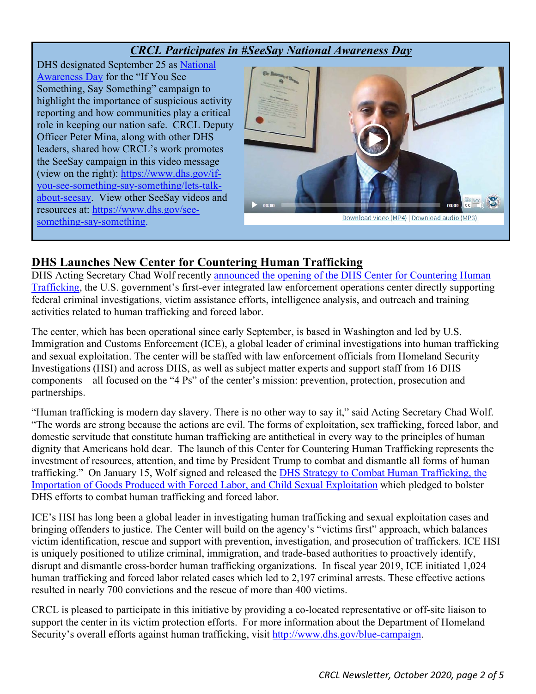#### *CRCL Participates in #SeeSay National Awareness Day*

DHS designated September 25 as [National](https://www.dhs.gov/see-something-say-something/about-campaign/seesay-day?utm_source=seesay_slideshow&utm_medium=web&utm_campaign=dhsgov)  [Awareness Day](https://www.dhs.gov/see-something-say-something/about-campaign/seesay-day?utm_source=seesay_slideshow&utm_medium=web&utm_campaign=dhsgov) for the "If You See Something, Say Something" campaign to highlight the importance of suspicious activity reporting and how communities play a critical role in keeping our nation safe. CRCL Deputy Officer Peter Mina, along with other DHS leaders, shared how CRCL's work promotes the SeeSay campaign in this video message (view on the right): [https://www.dhs.gov/if](https://www.dhs.gov/if-you-see-something-say-something/lets-talk-about-seesay)[you-see-something-say-something/lets-talk](https://www.dhs.gov/if-you-see-something-say-something/lets-talk-about-seesay)[about-seesay.](https://www.dhs.gov/if-you-see-something-say-something/lets-talk-about-seesay) View other SeeSay videos and resources at: [https://www.dhs.gov/see](https://www.dhs.gov/see-something-say-something)[something-say-something.](https://www.dhs.gov/see-something-say-something)



#### **DHS Launches New Center for Countering Human Trafficking**

DHS Acting Secretary Chad Wolf recently announced the opening of the DHS Center for Countering Human [Trafficking,](https://www.dhs.gov/news/2020/10/20/dhs-launches-new-center-countering-human-trafficking) the U.S. government's first-ever integrated law enforcement operations center directly supporting federal criminal investigations, victim assistance efforts, intelligence analysis, and outreach and training activities related to human trafficking and forced labor.

The center, which has been operational since early September, is based in Washington and led by U.S. Immigration and Customs Enforcement (ICE), a global leader of criminal investigations into human trafficking and sexual exploitation. The center will be staffed with law enforcement officials from Homeland Security Investigations (HSI) and across DHS, as well as subject matter experts and support staff from 16 DHS components—all focused on the "4 Ps" of the center's mission: prevention, protection, prosecution and partnerships.

"Human trafficking is modern day slavery. There is no other way to say it," said Acting Secretary Chad Wolf. "The words are strong because the actions are evil. The forms of exploitation, sex trafficking, forced labor, and domestic servitude that constitute human trafficking are antithetical in every way to the principles of human dignity that Americans hold dear. The launch of this Center for Countering Human Trafficking represents the investment of resources, attention, and time by President Trump to combat and dismantle all forms of human trafficking." On January 15, Wolf signed and released the [DHS Strategy to Combat Human Trafficking, the](https://www.dhs.gov/publication/strategy-combat-human-trafficking-importation-goods-produced-forced-labor-and-chil)  [Importation of Goods Produced with Forced Labor, and Child Sexual Exploitation](https://www.dhs.gov/publication/strategy-combat-human-trafficking-importation-goods-produced-forced-labor-and-chil) which pledged to bolster DHS efforts to combat human trafficking and forced labor.

ICE's HSI has long been a global leader in investigating human trafficking and sexual exploitation cases and bringing offenders to justice. The Center will build on the agency's "victims first" approach, which balances victim identification, rescue and support with prevention, investigation, and prosecution of traffickers. ICE HSI is uniquely positioned to utilize criminal, immigration, and trade-based authorities to proactively identify, disrupt and dismantle cross-border human trafficking organizations. In fiscal year 2019, ICE initiated 1,024 human trafficking and forced labor related cases which led to 2,197 criminal arrests. These effective actions resulted in nearly 700 convictions and the rescue of more than 400 victims.

CRCL is pleased to participate in this initiative by providing a co-located representative or off-site liaison to support the center in its victim protection efforts. For more information about the Department of Homeland Security's overall efforts against human trafficking, visit [http://www.dhs.gov/blue-campaign.](https://lnks.gd/l/eyJhbGciOiJIUzI1NiJ9.eyJidWxsZXRpbl9saW5rX2lkIjoxMDIsInVyaSI6ImJwMjpjbGljayIsImJ1bGxldGluX2lkIjoiMjAyMDEwMjAuMjkwNTQ4MTEiLCJ1cmwiOiJodHRwOi8vd3d3LmRocy5nb3YvYmx1ZS1jYW1wYWlnbiJ9.GwDe8xvdOv-wYArULJkZa5J6a3ycQTn4hai8vtJ3U80/s/110854243/br/87141117144-l)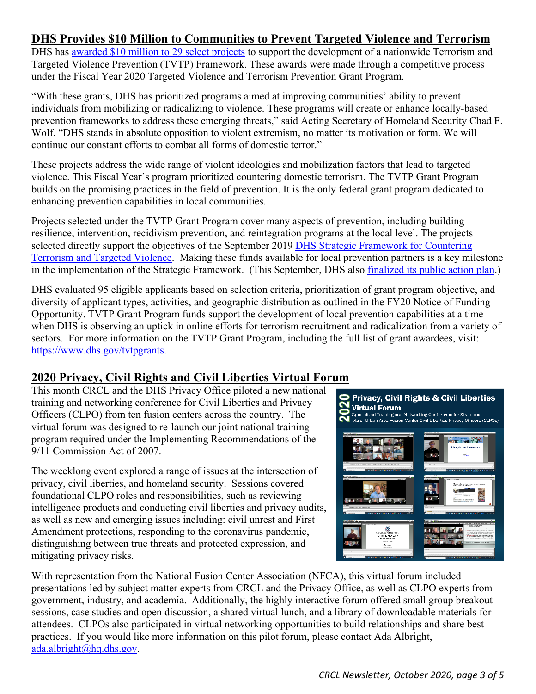#### <span id="page-2-0"></span>**DHS Provides \$10 Million to Communities to Prevent Targeted Violence and Terrorism**

DHS has [awarded \\$10 million to 29 select projects](https://www.dhs.gov/news/2020/09/16/dhs-provides-10-million-local-communities-prevent-targeted-violence-and-terrorism) to support the development of a nationwide Terrorism and Targeted Violence Prevention (TVTP) Framework. These awards were made through a competitive process under the Fiscal Year 2020 Targeted Violence and Terrorism Prevention Grant Program.

"With these grants, DHS has prioritized programs aimed at improving communities' ability to prevent individuals from mobilizing or radicalizing to violence. These programs will create or enhance locally-based prevention frameworks to address these emerging threats," said Acting Secretary of Homeland Security Chad F. Wolf. "DHS stands in absolute opposition to violent extremism, no matter its motivation or form. We will continue our constant efforts to combat all forms of domestic terror."

These projects address the wide range of violent ideologies and mobilization factors that lead to targeted violence. This Fiscal Year's program prioritized countering domestic terrorism. The TVTP Grant Program builds on the promising practices in the field of prevention. It is the only federal grant program dedicated to enhancing prevention capabilities in local communities.

Projects selected under the TVTP Grant Program cover many aspects of prevention, including building resilience, intervention, recidivism prevention, and reintegration programs at the local level. The projects selected directly support the objectives of the September 2019 DHS Strategic Framework for Countering [Terrorism and Targeted Violence.](https://www.dhs.gov/publication/dhs-strategic-framework-countering-terrorism-and-targeted-violence) Making these funds available for local prevention partners is a key milestone in the implementation of the Strategic Framework. (This September, DHS also [finalized its public action plan.](https://www.dhs.gov/news/2020/09/11/dhs-public-action-plan-implement-strategic-framework-countering-terrorism-and))

DHS evaluated 95 eligible applicants based on selection criteria, prioritization of grant program objective, and diversity of applicant types, activities, and geographic distribution as outlined in the FY20 Notice of Funding Opportunity. TVTP Grant Program funds support the development of local prevention capabilities at a time when DHS is observing an uptick in online efforts for terrorism recruitment and radicalization from a variety of sectors. For more information on the TVTP Grant Program, including the full list of grant awardees, visit: [https://www.dhs.gov/tvtpgrants.](https://www.dhs.gov/tvtpgrants)

#### <span id="page-2-1"></span>**2020 Privacy, Civil Rights and Civil Liberties Virtual Forum**

This month CRCL and the DHS Privacy Office piloted a new national training and networking conference for Civil Liberties and Privacy Officers (CLPO) from ten fusion centers across the country. The virtual forum was designed to re-launch our joint national training program required under the Implementing Recommendations of the 9/11 Commission Act of 2007.

The weeklong event explored a range of issues at the intersection of privacy, civil liberties, and homeland security. Sessions covered foundational CLPO roles and responsibilities, such as reviewing intelligence products and conducting civil liberties and privacy audits, as well as new and emerging issues including: civil unrest and First Amendment protections, responding to the coronavirus pandemic, distinguishing between true threats and protected expression, and mitigating privacy risks.



With representation from the National Fusion Center Association (NFCA), this virtual forum included presentations led by subject matter experts from CRCL and the Privacy Office, as well as CLPO experts from government, industry, and academia. Additionally, the highly interactive forum offered small group breakout sessions, case studies and open discussion, a shared virtual lunch, and a library of downloadable materials for attendees. CLPOs also participated in virtual networking opportunities to build relationships and share best practices. If you would like more information on this pilot forum, please contact Ada Albright, [ada.albright@hq.dhs.gov.](mailto:ada.albright@hq.dhs.gov)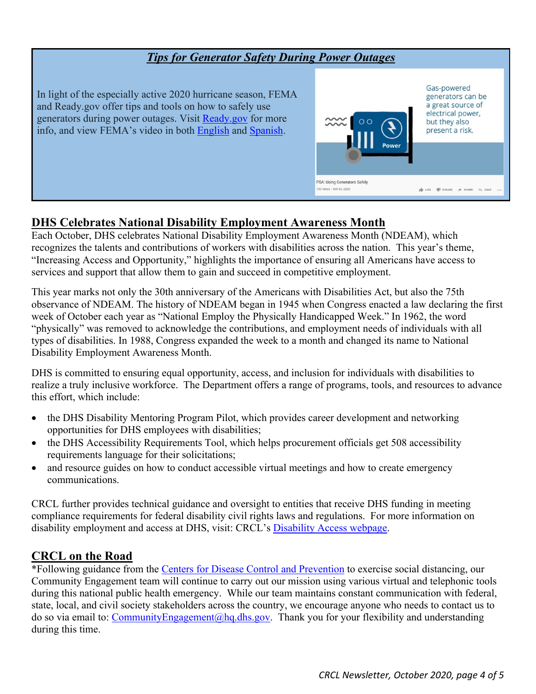#### *Tips for Generator Safety During Power Outages*  Gas-powered In light of the especially active 2020 hurricane season, FEMA generators can be and Ready.gov offer tips and tools on how to safely use a great source of electrical power, generators during power outages. Visit [Ready.gov](https://www.ready.gov/power-outages) for more but they also info, and view FEMA's video in both [English](https://www.youtube.com/watch?v=bsJzrGTB_aA) and [Spanish.](https://www.youtube.com/watch?v=Q7TV6X5CpQ4) present a risk. PSA: Using Generators Safely 33 views · Oct 14, 2020  $\frac{1}{2}$  LIKE  $\frac{1}{2}$  DISLIKE  $\rightarrow$  SHARE

## <span id="page-3-0"></span>**DHS Celebrates National Disability Employment Awareness Month**

Each October, DHS celebrates National Disability Employment Awareness Month (NDEAM), which recognizes the talents and contributions of workers with disabilities across the nation. This year's theme, "Increasing Access and Opportunity," highlights the importance of ensuring all Americans have access to services and support that allow them to gain and succeed in competitive employment.

This year marks not only the 30th anniversary of the Americans with Disabilities Act, but also the 75th observance of NDEAM. The history of NDEAM began in 1945 when Congress enacted a law declaring the first week of October each year as "National Employ the Physically Handicapped Week." In 1962, the word "physically" was removed to acknowledge the contributions, and employment needs of individuals with all types of disabilities. In 1988, Congress expanded the week to a month and changed its name to National Disability Employment Awareness Month.

DHS is committed to ensuring equal opportunity, access, and inclusion for individuals with disabilities to realize a truly inclusive workforce. The Department offers a range of programs, tools, and resources to advance this effort, which include:

- the DHS Disability Mentoring Program Pilot, which provides career development and networking opportunities for DHS employees with disabilities;
- the DHS Accessibility Requirements Tool, which helps procurement officials get 508 accessibility requirements language for their solicitations;
- and resource guides on how to conduct accessible virtual meetings and how to create emergency communications.

CRCL further provides technical guidance and oversight to entities that receive DHS funding in meeting compliance requirements for federal disability civil rights laws and regulations. For more information on disability employment and access at DHS, visit: CRCL's **Disability Access webpage**.

## <span id="page-3-1"></span>**CRCL on the Road**

\*Following guidance from the [Centers for Disease Control and Prevention](https://www.cdc.gov/coronavirus/2019-ncov/prepare/prevention.html) to exercise social distancing, our Community Engagement team will continue to carry out our mission using various virtual and telephonic tools during this national public health emergency. While our team maintains constant communication with federal, state, local, and civil society stakeholders across the country, we encourage anyone who needs to contact us to do so via email to: [CommunityEngagement@hq.dhs.gov.](mailto:CommunityEngagement@hq.dhs.gov) Thank you for your flexibility and understanding during this time.